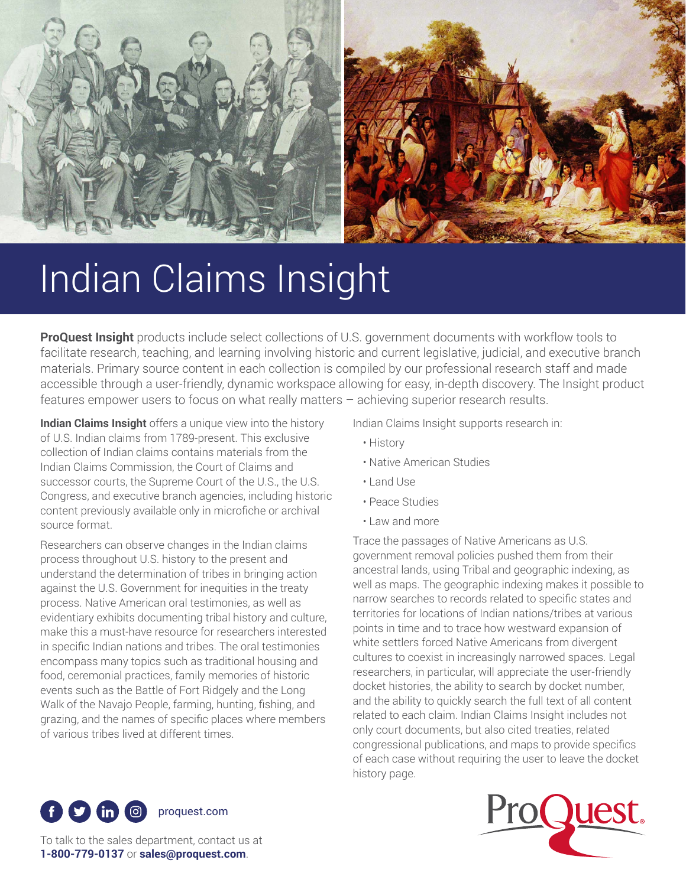

# Indian Claims Insight

**ProQuest Insight** products include select collections of U.S. government documents with workflow tools to facilitate research, teaching, and learning involving historic and current legislative, judicial, and executive branch materials. Primary source content in each collection is compiled by our professional research staff and made accessible through a user-friendly, dynamic workspace allowing for easy, in-depth discovery. The Insight product features empower users to focus on what really matters – achieving superior research results.

**Indian Claims Insight** offers a unique view into the history of U.S. Indian claims from 1789-present. This exclusive collection of Indian claims contains materials from the Indian Claims Commission, the Court of Claims and successor courts, the Supreme Court of the U.S., the U.S. Congress, and executive branch agencies, including historic content previously available only in microfiche or archival source format.

Researchers can observe changes in the Indian claims process throughout U.S. history to the present and understand the determination of tribes in bringing action against the U.S. Government for inequities in the treaty process. Native American oral testimonies, as well as evidentiary exhibits documenting tribal history and culture, make this a must-have resource for researchers interested in specific Indian nations and tribes. The oral testimonies encompass many topics such as traditional housing and food, ceremonial practices, family memories of historic events such as the Battle of Fort Ridgely and the Long Walk of the Navajo People, farming, hunting, fishing, and grazing, and the names of specific places where members of various tribes lived at different times.

Indian Claims Insight supports research in:

- History
- Native American Studies
- Land Use
- Peace Studies
- Law and more

Trace the passages of Native Americans as U.S. government removal policies pushed them from their ancestral lands, using Tribal and geographic indexing, as well as maps. The geographic indexing makes it possible to narrow searches to records related to specific states and territories for locations of Indian nations/tribes at various points in time and to trace how westward expansion of white settlers forced Native Americans from divergent cultures to coexist in increasingly narrowed spaces. Legal researchers, in particular, will appreciate the user-friendly docket histories, the ability to search by docket number, and the ability to quickly search the full text of all content related to each claim. Indian Claims Insight includes not only court documents, but also cited treaties, related congressional publications, and maps to provide specifics of each case without requiring the user to leave the docket history page.





To talk to the sales department, contact us at **1-800-779-0137** or **sales@proquest.com**.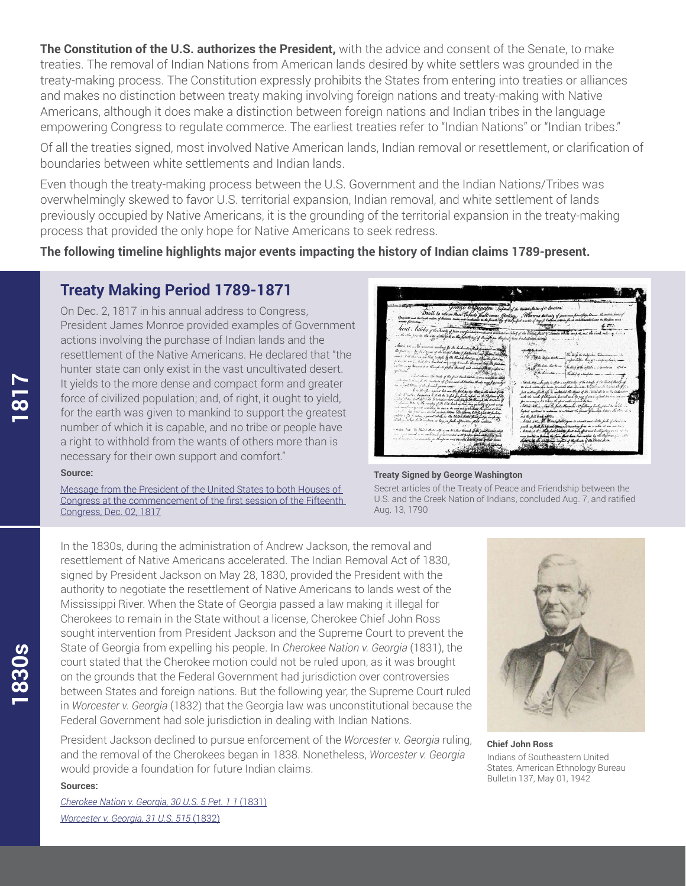**The Constitution of the U.S. authorizes the President,** with the advice and consent of the Senate, to make treaties. The removal of Indian Nations from American lands desired by white settlers was grounded in the treaty-making process. The Constitution expressly prohibits the States from entering into treaties or alliances and makes no distinction between treaty making involving foreign nations and treaty-making with Native Americans, although it does make a distinction between foreign nations and Indian tribes in the language empowering Congress to regulate commerce. The earliest treaties refer to "Indian Nations" or "Indian tribes."

Of all the treaties signed, most involved Native American lands, Indian removal or resettlement, or clarification of boundaries between white settlements and Indian lands.

Even though the treaty-making process between the U.S. Government and the Indian Nations/Tribes was overwhelmingly skewed to favor U.S. territorial expansion, Indian removal, and white settlement of lands previously occupied by Native Americans, it is the grounding of the territorial expansion in the treaty-making process that provided the only hope for Native Americans to seek redress.

**The following timeline highlights major events impacting the history of Indian claims 1789-present.**

### **Treaty Making Period 1789-1871**

On Dec. 2, 1817 in his annual address to Congress, President James Monroe provided examples of Government actions involving the purchase of Indian lands and the resettlement of the Native Americans. He declared that "the hunter state can only exist in the vast uncultivated desert. It yields to the more dense and compact form and greater force of civilized population; and, of right, it ought to yield, for the earth was given to mankind to support the greatest number of which it is capable, and no tribe or people have a right to withhold from the wants of others more than is necessary for their own support and comfort."

## illalas of c.A. Roberts Allena  $\begin{picture}(20,10) \put(0,0){\line(1,0){10}} \put(15,0){\line(1,0){10}} \put(15,0){\line(1,0){10}} \put(15,0){\line(1,0){10}} \put(15,0){\line(1,0){10}} \put(15,0){\line(1,0){10}} \put(15,0){\line(1,0){10}} \put(15,0){\line(1,0){10}} \put(15,0){\line(1,0){10}} \put(15,0){\line(1,0){10}} \put(15,0){\line(1,0){10}} \put(15,0){\line(1$ **The Agency**  $\mathbf{r}$ -<br>- The ling is into<br>- myon staps ding Bills Cim buch - $244.5$

#### **Source:**

Message from the President of the United States to both Houses of [Congress at the commencement of the first session of the Fifteenth](http://corpweb.proquest.com/docs/15Congress.pdf)  Congress, Dec. 02, 1817



Secret articles of the Treaty of Peace and Friendship between the U.S. and the Creek Nation of Indians, concluded Aug. 7, and ratified Aug. 13, 1790

In the 1830s, during the administration of Andrew Jackson, the removal and resettlement of Native Americans accelerated. The Indian Removal Act of 1830, signed by President Jackson on May 28, 1830, provided the President with the authority to negotiate the resettlement of Native Americans to lands west of the Mississippi River. When the State of Georgia passed a law making it illegal for Cherokees to remain in the State without a license, Cherokee Chief John Ross sought intervention from President Jackson and the Supreme Court to prevent the State of Georgia from expelling his people. In *Cherokee Nation v. Georgia* (1831), the court stated that the Cherokee motion could not be ruled upon, as it was brought on the grounds that the Federal Government had jurisdiction over controversies between States and foreign nations. But the following year, the Supreme Court ruled in *Worcester v. Georgia* (1832) that the Georgia law was unconstitutional because the Federal Government had sole jurisdiction in dealing with Indian Nations.

President Jackson declined to pursue enforcement of the *Worcester v. Georgia* ruling, and the removal of the Cherokees began in 1838. Nonetheless, *Worcester v. Georgia* would provide a foundation for future Indian claims.

**Chief John Ross** Indians of Southeastern United States, American Ethnology Bureau Bulletin 137, May 01, 1942

### **Sources:**

*[Cherokee Nation v. Georgia, 30 U.S. 5 Pet. 1 1](http://corpweb.proquest.com/docs/cherokeenation.pdf)* (1831) *[Worcester v. Georgia, 31 U.S. 515](http://corpweb.proquest.com/docs/worcestervsgeorgia.pdf)* (1832)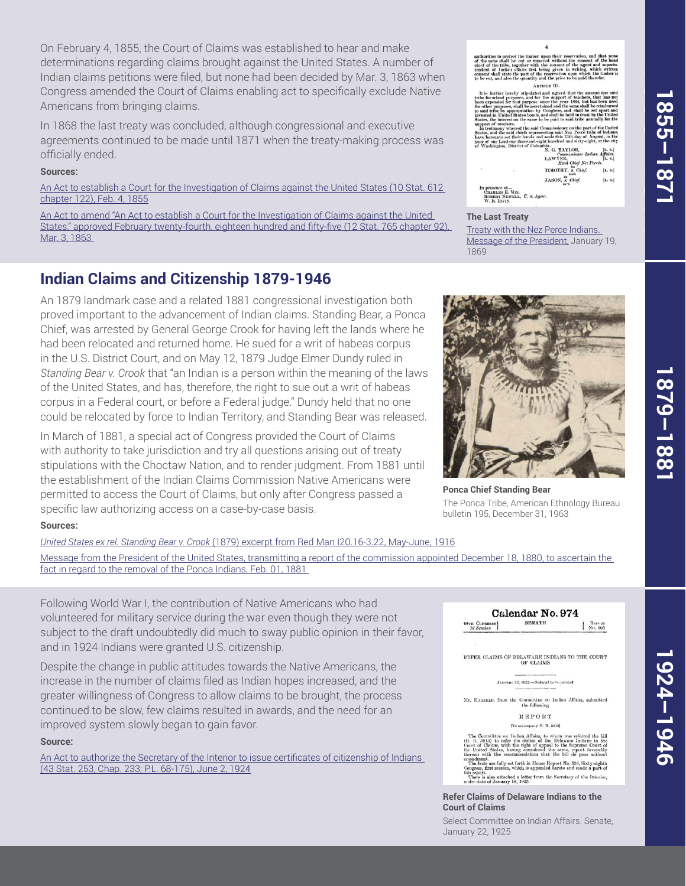On February 4, 1855, the Court of Claims was established to hear and make determinations regarding claims brought against the United States. A number of Indian claims petitions were filed, but none had been decided by Mar. 3, 1863 when Congress amended the Court of Claims enabling act to specifically exclude Native Americans from bringing claims.

In 1868 the last treaty was concluded, although congressional and executive agreements continued to be made until 1871 when the treaty-making process was officially ended.

#### **Sources:**

[An Act to establish a Court for the Investigation of Claims against the United States \(10 Stat. 612](http://corpweb.proquest.com/docs/33Congress.pdf)  chapter 122), Feb. 4, 1855

An Act to amend "An Act to establish a Court for the Investigation of Claims against the United [States," approved February twenty-fourth, eighteen hundred and fifty-five \(12 Stat. 765 chapter 92\),](http://corpweb.proquest.com/docs/37Congress.pdf)  Mar. 3, 1863

## **Indian Claims and Citizenship 1879-1946**

An 1879 landmark case and a related 1881 congressional investigation both proved important to the advancement of Indian claims. Standing Bear, a Ponca Chief, was arrested by General George Crook for having left the lands where he had been relocated and returned home. He sued for a writ of habeas corpus in the U.S. District Court, and on May 12, 1879 Judge Elmer Dundy ruled in *Standing Bear v. Crook* that "an Indian is a person within the meaning of the laws of the United States, and has, therefore, the right to sue out a writ of habeas corpus in a Federal court, or before a Federal judge." Dundy held that no one could be relocated by force to Indian Territory, and Standing Bear was released.

In March of 1881, a special act of Congress provided the Court of Claims with authority to take jurisdiction and try all questions arising out of treaty stipulations with the Choctaw Nation, and to render judgment. From 1881 until the establishment of the Indian Claims Commission Native Americans were permitted to access the Court of Claims, but only after Congress passed a specific law authorizing access on a case-by-case basis.

#### **Sources:**

*United States ex rel. Standing Bear v. Crook* [\(1879\) excerpt from Red Man I20.16-3.22, May-June, 1916](http://corpweb.proquest.com/docs/usvcrook.pdf) [Message from the President of the United States, transmitting a report of the commission appointed December 18, 1880, to ascertain the](http://corpweb.proquest.com/docs/46Congress-3rdSession.pdf)  fact in regard to the removal of the Ponca Indians, Feb. 01, 1881

Following World War I, the contribution of Native Americans who had volunteered for military service during the war even though they were not subject to the draft undoubtedly did much to sway public opinion in their favor, and in 1924 Indians were granted U.S. citizenship.

Despite the change in public attitudes towards the Native Americans, the increase in the number of claims filed as Indian hopes increased, and the greater willingness of Congress to allow claims to be brought, the process continued to be slow, few claims resulted in awards, and the need for an improved system slowly began to gain favor.

#### **Source:**

[An Act to authorize the Secretary of the Interior to issue certificates of citizenship of Indians](http://corpweb.proquest.com/docs/68Congress.pdf)  (43 Stat. 253, Chap. 233; P.L. 68-175), June 2, 1924

authorities to protect the timber upon their reserved the same shall be cut or removed without the chief chief of the tribe, together with the consent of the tendent of Indian affairs first being given in w consent shall ARTICLE III.

 $\overline{4}$ 

## AFTER EXPRESS IN a particular control and all the further hereby stipulated and agreed that the amproximated and the superor of teachers, and for the superor of the same shall that is a separation of the same shall the sa uppo:<br>In t

|     | $\mathbf{A}$ . U. AALAADAN     | <b>18.40 130</b> |
|-----|--------------------------------|------------------|
|     | Commissioner Indian Affairs.   |                  |
|     |                                | [L, 8.]          |
|     | LAWYER, Head Chief Nez Percés. |                  |
| ٠   | TIMOTHY, x Chief.              | [L, 8.]          |
|     | JASON, x Chief.                | [L. 8.]          |
|     |                                |                  |
| MIX |                                |                  |

ice ot—<br>.es E. M1x.<br>:T Newell., *U. 8. Agent* 

#### **The Last Treaty**

Treaty with the Nez Perce Indians. [Message of the President, January 19,](http://corpweb.proquest.com/docs/40Congress.pdf)  1869



**Ponca Chief Standing Bear** The Ponca Tribe, American Ethnology Bureau bulletin 195, December 31, 1963

Calendar No. 974 **SENATE** REFORT<br>No. 905

REFER CLAIMS OF DELAWARE INDIANS TO THE COURT OF CLAIMS

JANUARY 22, 1925.-Ordered to be printed

Mr. HARRELD, from the Committee on Indian Affairs, submitted<br>the following

**REPORT** 

[To accompany H. R. 3913] The Committee on Indian Affairs, to whom was reforred the bill<br> $(H. R. 3913)$  to refer the elaims of the Delaware Indians to the<br>Court of Claims, with the right of appeal to the Supreme Court of<br>the United States, having co amendment.<br>The facts are fully set forth in House Report No. 536, Sixty-eighth<br>Congress, first session, which is appended hereto and made a part of<br>this report.

this report.<br>There is also attached a letter from the Secretary of the Interior,<br>under date of January 16, 1925.

**Refer Claims of Delaware Indians to the Court of Claims**

Select Committee on Indian Affairs. Senate, January 22, 1925

**1855–1871**

**1855–1871**

855-187